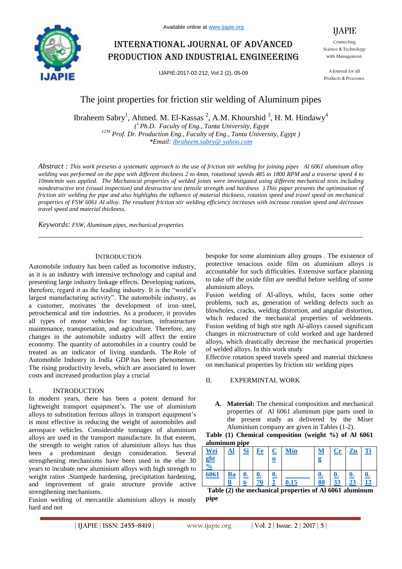

# International journal of advanced production and industrial engineering

IJAPIE-2017-02-212, Vol 2 (2), 05-09



Connecting Science & Technology with Management.

A Journal for all Products & Processes.

# The joint properties for friction stir welding of Aluminum pipes

Ibraheem Sabry<sup>1</sup>, Ahmed. M. El-Kassas<sup>2</sup>, A.M. Khourshid<sup>3</sup>, H.M. Hindawy<sup>4</sup> *( <sup>1</sup>Ph.D. Faculty of Eng., Tanta University, Egypt <sup>1234</sup> Prof. Dr. Production Eng., Faculty of Eng., Tanta University, Egypt ) \*Email: ibraheem.sabry@ yahoo.com*

*Abstract : This work presents a systematic approach to the use of friction stir welding for joining pipes Al 6061 aluminum alloy welding was performed on the pipe with different thickness 2 to 4mm, rotational speeds 485 to 1800 RPM and a traverse speed 4 to 10mm/min was applied. The Mechanical properties of welded joints were investigated using different mechanical tests including nondestructive test (visual inspection) and destructive test (tensile strength and hardness ).This paper presents the optimization of friction stir welding for pipe and also highlights the influence of material thickness, rotation speed and travel speed on mechanical properties of FSW 6061 Al alloy. The resultant friction stir welding efficiency increases with increase rotation speed and decreases travel speed and material thickness.*

*Keywords: FSW, Aluminum pipes, mechanical properties*

#### **INTRODUCTION**

Automobile industry has been called as locomotive industry, as it is an industry with intensive technology and capital and presenting large industry linkage effects. Developing nations, therefore, regard it as the leading industry. It is the "world's largest manufacturing activity". The automobile industry, as a customer, motivates the development of iron–steel, petrochemical and tire industries. As a producer, it provides all types of motor vehicles for tourism, infrastructure maintenance, transportation, and agriculture. Therefore, any changes in the automobile industry will affect the entire economy. The quantity of automobiles in a country could be treated as an indicator of living standards. The Role of Automobile Industry in India GDP has been phenomenon. The rising productivity levels, which are associated to lower costs and increased production play a crucial

#### I. INTRODUCTION

In modern years, there has been a potent demand for lightweight transport equipment's. The use of aluminium alloys to substitution ferrous alloys in transport equipment's is most effective in reducing the weight of automobiles and aerospace vehicles. Considerable tonnages of aluminium alloys are used in the transport manufacture. In that esteem, the strength to weight ratios of aluminium alloys has thus been a predominant design consideration. Several strengthening mechanisms have been used in the else 30 years to incubate new aluminium alloys with high strength to weight ratios .Stampede hardening, precipitation hardening, and improvement of grain structure provide active strengthening mechanisms.

Fusion welding of mercantile aluminium alloys is mostly hard and not

bespoke for some aluminium alloy groups . The existence of protective tenacious oxide film on aluminium alloys is accountable for such difficulties. Extensive surface planning to take off the oxide film are needful before welding of some aluminium alloys.

Fusion welding of Al-alloys, whilst, faces some other problems, such as, generation of welding defects such as blowholes, cracks, welding distortion, and angular distortion, which reduced the mechanical properties of weldments. Fusion welding of high stre ngth Al-alloys caused significant changes in microstructure of cold worked and age hardened alloys, which drastically decrease the mechanical properties of welded alloys. In this work study

Effective rotation speed travels speed and material thickness on mechanical properties by friction stir welding pipes

## II. EXPERMINTAL WORK

**A. Material:** The chemical composition and mechanical properties of Al 6061 aluminum pipe parts used in the present study as delivered by the Miser Aluminium company are given in Tables (1-2).

#### **Table (1) Chemical composition (weight %) of Al 6061 aluminum pipe**

| <u>Wei</u><br>ght<br>$\frac{6}{6}$ |    | <u>Si</u> | Fe        | <u>u</u>           | <b>Min</b> | M<br>g          | $\mathbf{Cr}$ | Zn              | Ti |
|------------------------------------|----|-----------|-----------|--------------------|------------|-----------------|---------------|-----------------|----|
| 6061                               | Ba | 0.<br>n   | <u>0.</u> | $\boldsymbol{0}$ . | 0.15       | <u>0.</u><br>80 | 22<br>ЭA      | <u>0.</u><br>23 |    |

**Table (2) the mechanical properties of Al 6061 aluminum pipe**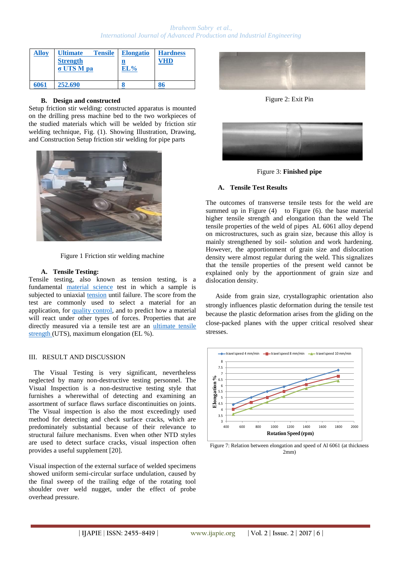## *Ibraheem Sabry et al., International Journal of Advanced Production and Industrial Engineering*

| Alloy | <b>Tensile</b><br><b>Ultimate</b><br><b>Strength</b><br>σ UTS M pa | <b>Elongatio</b><br>n<br>EL% | <b>Hardness</b><br>'HD |
|-------|--------------------------------------------------------------------|------------------------------|------------------------|
| 6061  | 252.690                                                            |                              | 86                     |

#### **B. Design and constructed**

Setup friction stir welding: constructed apparatus is mounted on the drilling press machine bed to the two workpieces of the studied materials which will be welded by friction stir welding technique, Fig. (1). Showing Illustration, Drawing, and Construction Setup friction stir welding for pipe parts



Figure 1 Friction stir welding machine

#### **A. Tensile Testing:**

Tensile testing, also known as tension testing, is a fundamental material science test in which a sample is subjected to uniaxial tension until failure. The score from the test are commonly used to select a material for an application, for quality control, and to predict how a material will react under other types of forces. Properties that are directly measured via a tensile test are an ultimate tensile strength (UTS), maximum elongation (EL %).

#### III. RESULT AND DISCUSSION

 The Visual Testing is very significant, nevertheless neglected by many non-destructive testing personnel. The Visual Inspection is a non-destructive testing style that furnishes a wherewithal of detecting and examining an assortment of surface flaws surface discontinuities on joints. The Visual inspection is also the most exceedingly used method for detecting and check surface cracks, which are predominately substantial because of their relevance to structural failure mechanisms. Even when other NTD styles are used to detect surface cracks, visual inspection often provides a useful supplement [20].

Visual inspection of the external surface of welded specimens showed uniform semi-circular surface undulation, caused by the final sweep of the trailing edge of the rotating tool shoulder over weld nugget, under the effect of probe overhead pressure.



Figure 2: Exit Pin



Figure 3: **Finished pipe**

#### **A. Tensile Test Results**

The outcomes of transverse tensile tests for the weld are summed up in Figure  $(4)$  to Figure  $(6)$ . the base material higher tensile strength and elongation than the weld The tensile properties of the weld of pipes AL 6061 alloy depend on microstructures, such as grain size, because this alloy is mainly strengthened by soil- solution and work hardening. However, the apportionment of grain size and dislocation density were almost regular during the weld. This signalizes that the tensile properties of the present weld cannot be explained only by the apportionment of grain size and dislocation density.

Aside from grain size, crystallographic orientation also strongly influences plastic deformation during the tensile test because the plastic deformation arises from the gliding on the close-packed planes with the upper critical resolved shear stresses.



Figure 7: Relation between elongation and speed of Al 6061 (at thickness 2mm)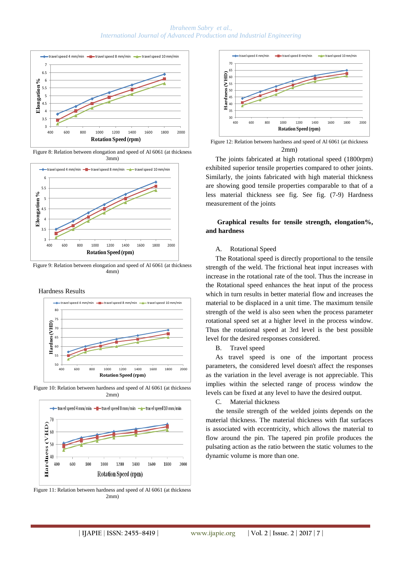#### *Ibraheem Sabry et al., International Journal of Advanced Production and Industrial Engineering*



Figure 8: Relation between elongation and speed of Al 6061 (at thickness 3mm)



Figure 9: Relation between elongation and speed of Al 6061 (at thickness 4mm)

#### Hardness Results



Figure 10: Relation between hardness and speed of Al 6061 (at thickness 2mm)



Figure 11: Relation between hardness and speed of Al 6061 (at thickness 2mm)



Figure 12: Relation between hardness and speed of Al 6061 (at thickness 2mm)

The joints fabricated at high rotational speed (1800rpm) exhibited superior tensile properties compared to other joints. Similarly, the joints fabricated with high material thickness are showing good tensile properties comparable to that of a less material thickness see fig. See fig. (7-9) Hardness measurement of the joints

# **Graphical results for tensile strength, elongation%, and hardness**

#### A. Rotational Speed

The Rotational speed is directly proportional to the tensile strength of the weld. The frictional heat input increases with increase in the rotational rate of the tool. Thus the increase in the Rotational speed enhances the heat input of the process which in turn results in better material flow and increases the material to be displaced in a unit time. The maximum tensile strength of the weld is also seen when the process parameter rotational speed set at a higher level in the process window. Thus the rotational speed at 3rd level is the best possible level for the desired responses considered.

B. Travel speed

As travel speed is one of the important process parameters, the considered level doesn't affect the responses as the variation in the level average is not appreciable. This implies within the selected range of process window the levels can be fixed at any level to have the desired output.

C. Material thickness

the tensile strength of the welded joints depends on the material thickness. The material thickness with flat surfaces is associated with eccentricity, which allows the material to flow around the pin. The tapered pin profile produces the pulsating action as the ratio between the static volumes to the dynamic volume is more than one.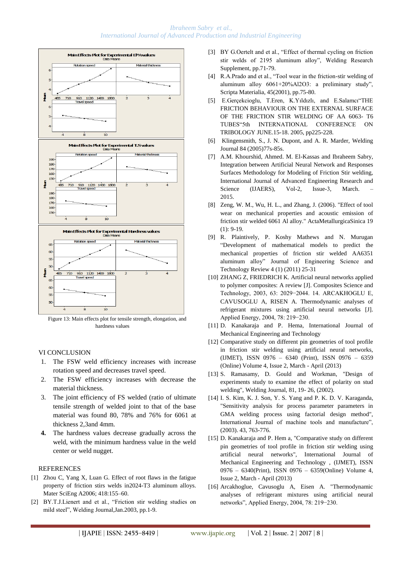# *Ibraheem Sabry et al., International Journal of Advanced Production and Industrial Engineering*



Figure 13: Main effects plot for tensile strength, elongation, and hardness values

#### VI CONCLUSION

- 1. The FSW weld efficiency increases with increase rotation speed and decreases travel speed.
- 2. The FSW efficiency increases with decrease the material thickness.
- 3. The joint efficiency of FS welded (ratio of ultimate tensile strength of welded joint to that of the base material was found 80, 78% and 76% for 6061 at thickness 2,3and 4mm.
- **4.** The hardness values decrease gradually across the weld, with the minimum hardness value in the weld center or weld nugget.

# **REFERENCES**

- [1] Zhou C, Yang X, Luan G. Effect of root flaws in the fatigue property of friction stirs welds in2024-T3 aluminum alloys. Mater SciEng A2006; 418:155–60.
- [2] BY.T.J.Lienert and et al., "Friction stir welding studies on mild steel", Welding Journal,Jan.2003, pp.1-9.
- [3] BY G.Oertelt and et al., "Effect of thermal cycling on friction stir welds of 2195 aluminum alloy", Welding Research Supplement, pp.71-79.
- [4] R.A.Prado and et al., "Tool wear in the friction-stir welding of aluminum alloy 6061+20%Al2O3: a preliminary study", Scripta Materialia, 45(2001), pp.75-80.
- [5] E.Gerçekcioglu, T.Eren, K.Yıldızlı, and E.Salamcı"THE FRICTION BEHAVIOUR ON THE EXTERNAL SURFACE OF THE FRICTION STIR WELDING OF AA 6063- T6 TUBES"5th INTERNATIONAL CONFERENCE ON TRIBOLOGY JUNE.15-18. 2005, pp225-228.
- [6] Klingensmith, S., J. N. Dupont, and A. R. Marder, Welding Journal 84 (2005)77s-85s.
- [7] A.M. Khourshid, Ahmed. M. El-Kassas and Ibraheem Sabry, Integration between Artificial Neural Network and Responses Surfaces Methodology for Modeling of Friction Stir welding, International Journal of Advanced Engineering Research and Science (IJAERS), Vol-2, Issue-3, March. 2015.
- [8] Zeng, W. M., Wu, H. L., and Zhang, J. (2006). "Effect of tool wear on mechanical properties and acoustic emission of friction stir welded 6061 Al alloy." ActaMetallurgicaSinica 19 (1): 9-19.
- [9] R. Plaintively, P. Koshy Mathews and N. Murugan "Development of mathematical models to predict the mechanical properties of friction stir welded AA6351 aluminum alloy" Journal of Engineering Science and Technology Review 4 (1) (2011) 25-31
- [10] ZHANG Z, FRIEDRICH K. Artificial neural networks applied to polymer composites: A review [J]. Composites Science and Technology, 2003, 63: 2029−2044. 14. ARCAKHOGLU E, CAVUSOGLU A, RISEN A. Thermodynamic analyses of refrigerant mixtures using artificial neural networks [J]. Applied Energy, 2004, 78: 219−230.
- [11] D. Kanakaraja and P. Hema, International Journal of Mechanical Engineering and Technology
- [12] Comparative study on different pin geometries of tool profile in friction stir welding using artificial neural networks, (IJMET), ISSN 0976 – 6340 (Print), ISSN 0976 – 6359 (Online) Volume 4, Issue 2, March - April (2013)
- [13] S. Ramasamy, D. Gould and Workman, "Design of experiments study to examine the effect of polarity on stud welding", Welding Journal, 81, 19- 26, (2002).
- [14] I. S. Kim, K. J. Son, Y. S. Yang and P. K. D. V. Karaganda, "Sensitivity analysis for process parameter parameters in GMA welding process using factorial design method", International Journal of machine tools and manufacture", (2003). 43, 763-776.
- [15] D. Kanakaraja and P. Hem a, "Comparative study on different pin geometries of tool profile in friction stir welding using artificial neural networks", International Journal of Mechanical Engineering and Technology , (IJMET), ISSN 0976 – 6340(Print), ISSN 0976 – 6359(Online) Volume 4, Issue 2, March - April (2013)
- [16] Arcakhoglue, Cavusoglu A, Eisen A. "Thermodynamic analyses of refrigerant mixtures using artificial neural networks", Applied Energy, 2004, 78: 219−230.